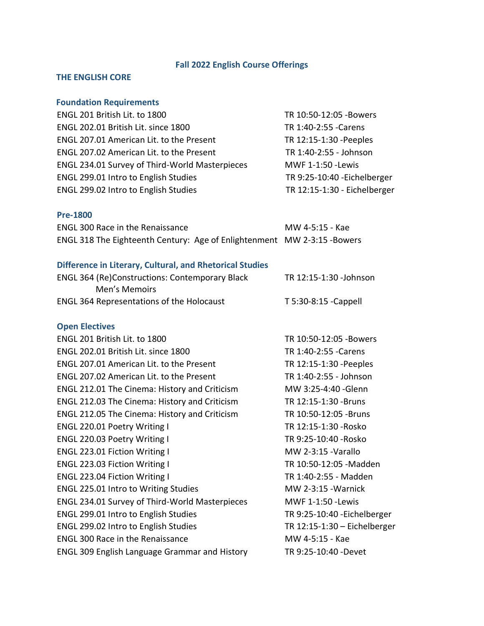# **Fall 2022 English Course Offerings**

## **THE ENGLISH CORE**

# **Foundation Requirements**

| ENGL 201 British Lit. to 1800                  | TR 10:50-12:05 - Bowers      |
|------------------------------------------------|------------------------------|
| ENGL 202.01 British Lit. since 1800            | TR 1:40-2:55 - Carens        |
| ENGL 207.01 American Lit. to the Present       | TR 12:15-1:30 - Peeples      |
| ENGL 207.02 American Lit. to the Present       | TR 1:40-2:55 - Johnson       |
| ENGL 234.01 Survey of Third-World Masterpieces | MWF 1-1:50 - Lewis           |
| <b>ENGL 299.01 Intro to English Studies</b>    | TR 9:25-10:40 - Eichelberger |
| ENGL 299.02 Intro to English Studies           | TR 12:15-1:30 - Eichelberger |
|                                                |                              |

## **Pre-1800**

| <b>ENGL 300 Race in the Renaissance</b>                                  | MW 4-5:15 - Kae |
|--------------------------------------------------------------------------|-----------------|
| ENGL 318 The Eighteenth Century: Age of Enlightenment MW 2-3:15 - Bowers |                 |

## **Difference in Literary, Cultural, and Rhetorical Studies**

| <b>ENGL 364 (Re)Constructions: Contemporary Black</b> | TR 12:15-1:30 -Johnson |
|-------------------------------------------------------|------------------------|
| Men's Memoirs                                         |                        |
| <b>ENGL 364 Representations of the Holocaust</b>      | T 5:30-8:15 - Cappell  |

# **Open Electives**

| ENGL 201 British Lit. to 1800                         | TR 10:50-12:05 - Bowers        |
|-------------------------------------------------------|--------------------------------|
| ENGL 202.01 British Lit. since 1800                   | TR 1:40-2:55 - Carens          |
| <b>ENGL 207.01 American Lit. to the Present</b>       | TR 12:15-1:30 - Peeples        |
| <b>ENGL 207.02 American Lit. to the Present</b>       | TR 1:40-2:55 - Johnson         |
| ENGL 212.01 The Cinema: History and Criticism         | MW 3:25-4:40 - Glenn           |
| ENGL 212.03 The Cinema: History and Criticism         | TR 12:15-1:30 - Bruns          |
| ENGL 212.05 The Cinema: History and Criticism         | TR 10:50-12:05 -Bruns          |
| ENGL 220.01 Poetry Writing I                          | TR 12:15-1:30 - Rosko          |
| ENGL 220.03 Poetry Writing I                          | TR 9:25-10:40 - Rosko          |
| <b>ENGL 223.01 Fiction Writing I</b>                  | MW 2-3:15 - Varallo            |
| ENGL 223.03 Fiction Writing I                         | TR 10:50-12:05 - Madden        |
| ENGL 223.04 Fiction Writing I                         | TR 1:40-2:55 - Madden          |
| <b>ENGL 225.01 Intro to Writing Studies</b>           | <b>MW 2-3:15 - Warnick</b>     |
| <b>ENGL 234.01 Survey of Third-World Masterpieces</b> | MWF 1-1:50 - Lewis             |
| <b>ENGL 299.01 Intro to English Studies</b>           | TR 9:25-10:40 - Eichelberger   |
| ENGL 299.02 Intro to English Studies                  | TR $12:15-1:30$ - Eichelberger |
| <b>ENGL 300 Race in the Renaissance</b>               | MW 4-5:15 - Kae                |
| <b>ENGL 309 English Language Grammar and History</b>  | TR 9:25-10:40 - Devet          |
|                                                       |                                |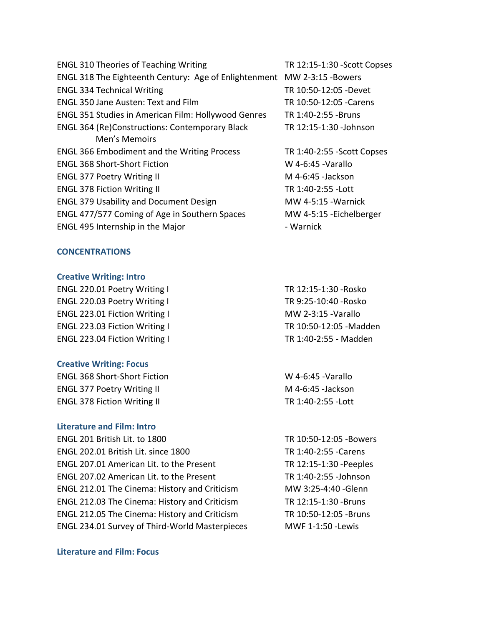| <b>ENGL 310 Theories of Teaching Writing</b>               | TR 12:15-1:30 - Scott Copses |
|------------------------------------------------------------|------------------------------|
| ENGL 318 The Eighteenth Century: Age of Enlightenment      | MW 2-3:15 - Bowers           |
| <b>ENGL 334 Technical Writing</b>                          | TR 10:50-12:05 -Devet        |
| <b>ENGL 350 Jane Austen: Text and Film</b>                 | TR 10:50-12:05 - Carens      |
| <b>ENGL 351 Studies in American Film: Hollywood Genres</b> | TR 1:40-2:55 -Bruns          |
| <b>ENGL 364 (Re)Constructions: Contemporary Black</b>      | TR 12:15-1:30 - Johnson      |
| Men's Memoirs                                              |                              |
| <b>ENGL 366 Embodiment and the Writing Process</b>         | TR 1:40-2:55 - Scott Copses  |
| <b>ENGL 368 Short-Short Fiction</b>                        | W 4-6:45 - Varallo           |
| <b>ENGL 377 Poetry Writing II</b>                          | M 4-6:45 - Jackson           |
| <b>ENGL 378 Fiction Writing II</b>                         | TR 1:40-2:55 - Lott          |
| <b>ENGL 379 Usability and Document Design</b>              | <b>MW 4-5:15 - Warnick</b>   |
| ENGL 477/577 Coming of Age in Southern Spaces              | MW 4-5:15 - Eichelberger     |
| ENGL 495 Internship in the Major                           | - Warnick                    |

### **CONCENTRATIONS**

### **Creative Writing: Intro**

ENGL 220.01 Poetry Writing I TR 12:15-1:30 - Rosko ENGL 220.03 Poetry Writing I TR 9:25-10:40 - Rosko ENGL 223.01 Fiction Writing I MW 2-3:15 - Varallo ENGL 223.03 Fiction Writing I TR 10:50-12:05 - Madden ENGL 223.04 Fiction Writing I

### **Creative Writing: Focus**

ENGL 368 Short-Short Fiction W 4-6:45 -Varallo ENGL 377 Poetry Writing II M 4-6:45 - Jackson ENGL 378 Fiction Writing II

### **Literature and Film: Intro**

ENGL 201 British Lit. to 1800 TR 10:50-12:05 -Bowers ENGL 202.01 British Lit. since 1800 TR 1:40-2:55 -Carens ENGL 207.01 American Lit. to the Present TR 12:15-1:30 -Peeples ENGL 207.02 American Lit. to the Present TR 1:40-2:55 -Johnson ENGL 212.01 The Cinema: History and Criticism MW 3:25-4:40 -Glenn ENGL 212.03 The Cinema: History and Criticism TR 12:15-1:30 -Bruns ENGL 212.05 The Cinema: History and Criticism TR 10:50-12:05 -Bruns ENGL 234.01 Survey of Third-World Masterpieces

### **Literature and Film: Focus**

TR 1:40-2:55 - Madden

TR 1:40-2:55 -Lott

MWF 1-1:50 -Lewis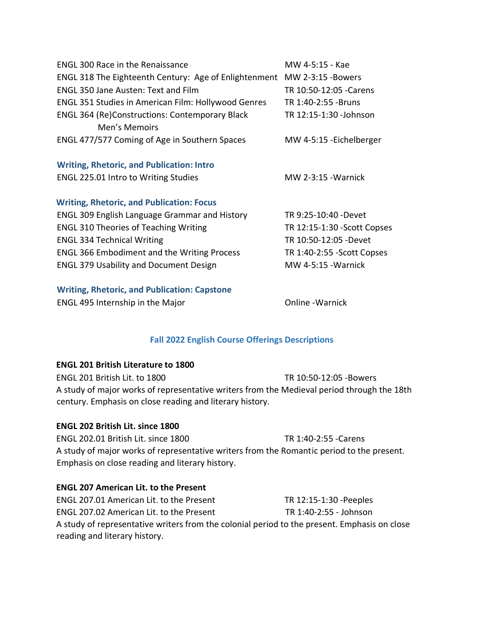| <b>ENGL 300 Race in the Renaissance</b>                    | MW 4-5:15 - Kae              |
|------------------------------------------------------------|------------------------------|
| ENGL 318 The Eighteenth Century: Age of Enlightenment      | MW 2-3:15 - Bowers           |
| <b>ENGL 350 Jane Austen: Text and Film</b>                 | TR 10:50-12:05 - Carens      |
| <b>ENGL 351 Studies in American Film: Hollywood Genres</b> | TR 1:40-2:55 - Bruns         |
| <b>ENGL 364 (Re)Constructions: Contemporary Black</b>      | TR 12:15-1:30 - Johnson      |
| Men's Memoirs                                              |                              |
| ENGL 477/577 Coming of Age in Southern Spaces              | MW 4-5:15 - Eichelberger     |
|                                                            |                              |
| <b>Writing, Rhetoric, and Publication: Intro</b>           |                              |
| ENGL 225.01 Intro to Writing Studies                       | <b>MW 2-3:15 - Warnick</b>   |
|                                                            |                              |
| <b>Writing, Rhetoric, and Publication: Focus</b>           |                              |
| <b>ENGL 309 English Language Grammar and History</b>       | TR 9:25-10:40 - Devet        |
| <b>ENGL 310 Theories of Teaching Writing</b>               | TR 12:15-1:30 - Scott Copses |
| <b>ENGL 334 Technical Writing</b>                          | TR 10:50-12:05 -Devet        |
| <b>ENGL 366 Embodiment and the Writing Process</b>         | TR 1:40-2:55 - Scott Copses  |
| <b>ENGL 379 Usability and Document Design</b>              | <b>MW 4-5:15 - Warnick</b>   |
|                                                            |                              |
| <b>Writing, Rhetoric, and Publication: Capstone</b>        |                              |

ENGL 495 Internship in the Major Channel Constant Conline - Warnick

## **Fall 2022 English Course Offerings Descriptions**

## **ENGL 201 British Literature to 1800**

ENGL 201 British Lit. to 1800 TR 10:50-12:05 -Bowers A study of major works of representative writers from the Medieval period through the 18th century. Emphasis on close reading and literary history.

## **ENGL 202 British Lit. since 1800**

ENGL 202.01 British Lit. since 1800 TR 1:40-2:55 -Carens A study of major works of representative writers from the Romantic period to the present. Emphasis on close reading and literary history.

# **ENGL 207 American Lit. to the Present**

ENGL 207.01 American Lit. to the Present TR 12:15-1:30 -Peeples ENGL 207.02 American Lit. to the Present TR 1:40-2:55 - Johnson A study of representative writers from the colonial period to the present. Emphasis on close reading and literary history.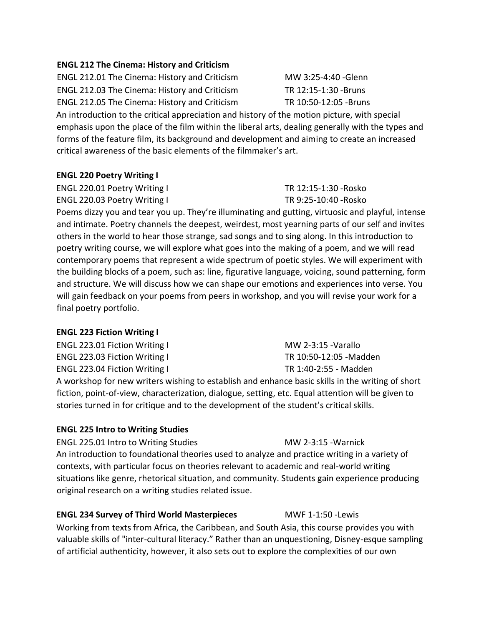# **ENGL 212 The Cinema: History and Criticism**

ENGL 212.01 The Cinema: History and Criticism MW 3:25-4:40 -Glenn ENGL 212.03 The Cinema: History and Criticism TR 12:15-1:30 -Bruns ENGL 212.05 The Cinema: History and Criticism TR 10:50-12:05 -Bruns

An introduction to the critical appreciation and history of the motion picture, with special emphasis upon the place of the film within the liberal arts, dealing generally with the types and forms of the feature film, its background and development and aiming to create an increased critical awareness of the basic elements of the filmmaker's art.

### **ENGL 220 Poetry Writing I**

ENGL 220.01 Poetry Writing I TR 12:15-1:30 -Rosko ENGL 220.03 Poetry Writing I TR 9:25-10:40 - Rosko

Poems dizzy you and tear you up. They're illuminating and gutting, virtuosic and playful, intense and intimate. Poetry channels the deepest, weirdest, most yearning parts of our self and invites others in the world to hear those strange, sad songs and to sing along. In this introduction to poetry writing course, we will explore what goes into the making of a poem, and we will read contemporary poems that represent a wide spectrum of poetic styles. We will experiment with the building blocks of a poem, such as: line, figurative language, voicing, sound patterning, form and structure. We will discuss how we can shape our emotions and experiences into verse. You will gain feedback on your poems from peers in workshop, and you will revise your work for a final poetry portfolio.

### **ENGL 223 Fiction Writing I**

ENGL 223.01 Fiction Writing I MW 2-3:15 -Varallo ENGL 223.03 Fiction Writing I TR 10:50-12:05 - Madden ENGL 223.04 Fiction Writing I TR 1:40-2:55 - Madden A workshop for new writers wishing to establish and enhance basic skills in the writing of short fiction, point-of-view, characterization, dialogue, setting, etc. Equal attention will be given to stories turned in for critique and to the development of the student's critical skills.

### **ENGL 225 Intro to Writing Studies**

ENGL 225.01 Intro to Writing Studies MW 2-3:15 - Warnick An introduction to foundational theories used to analyze and practice writing in a variety of contexts, with particular focus on theories relevant to academic and real-world writing situations like genre, rhetorical situation, and community. Students gain experience producing original research on a writing studies related issue.

### **ENGL 234 Survey of Third World Masterpieces** MWF 1-1:50 -Lewis

Working from texts from Africa, the Caribbean, and South Asia, this course provides you with valuable skills of "inter-cultural literacy." Rather than an unquestioning, Disney-esque sampling of artificial authenticity, however, it also sets out to explore the complexities of our own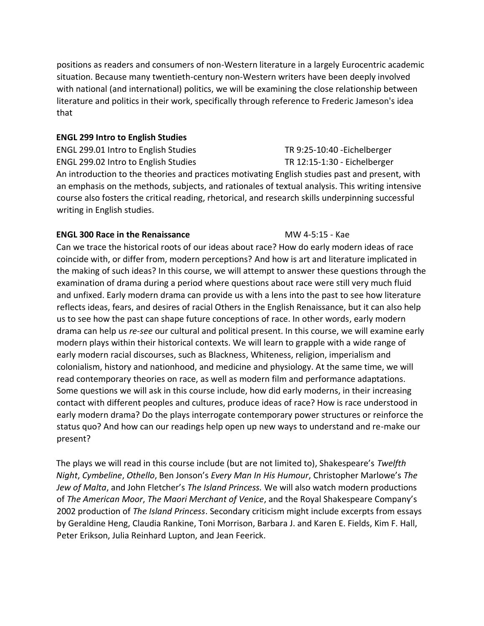positions as readers and consumers of non-Western literature in a largely Eurocentric academic situation. Because many twentieth-century non-Western writers have been deeply involved with national (and international) politics, we will be examining the close relationship between literature and politics in their work, specifically through reference to Frederic Jameson's idea that

# **ENGL 299 Intro to English Studies**

ENGL 299.01 Intro to English Studies TR 9:25-10:40 -Eichelberger ENGL 299.02 Intro to English Studies TR 12:15-1:30 - Eichelberger An introduction to the theories and practices motivating English studies past and present, with an emphasis on the methods, subjects, and rationales of textual analysis. This writing intensive course also fosters the critical reading, rhetorical, and research skills underpinning successful writing in English studies.

# **ENGL 300 Race in the Renaissance** MW 4-5:15 - Kae

Can we trace the historical roots of our ideas about race? How do early modern ideas of race coincide with, or differ from, modern perceptions? And how is art and literature implicated in the making of such ideas? In this course, we will attempt to answer these questions through the examination of drama during a period where questions about race were still very much fluid and unfixed. Early modern drama can provide us with a lens into the past to see how literature reflects ideas, fears, and desires of racial Others in the English Renaissance, but it can also help us to see how the past can shape future conceptions of race. In other words, early modern drama can help us *re-see* our cultural and political present. In this course, we will examine early modern plays within their historical contexts. We will learn to grapple with a wide range of early modern racial discourses, such as Blackness, Whiteness, religion, imperialism and colonialism, history and nationhood, and medicine and physiology. At the same time, we will read contemporary theories on race, as well as modern film and performance adaptations. Some questions we will ask in this course include, how did early moderns, in their increasing contact with different peoples and cultures, produce ideas of race? How is race understood in early modern drama? Do the plays interrogate contemporary power structures or reinforce the status quo? And how can our readings help open up new ways to understand and re-make our present?

The plays we will read in this course include (but are not limited to), Shakespeare's *Twelfth Night*, *Cymbeline*, *Othello*, Ben Jonson's *Every Man In His Humour*, Christopher Marlowe's *The Jew of Malta*, and John Fletcher's *The Island Princess.* We will also watch modern productions of *The American Moor*, *The Maori Merchant of Venice*, and the Royal Shakespeare Company's 2002 production of *The Island Princess*. Secondary criticism might include excerpts from essays by Geraldine Heng, Claudia Rankine, Toni Morrison, Barbara J. and Karen E. Fields, Kim F. Hall, Peter Erikson, Julia Reinhard Lupton, and Jean Feerick.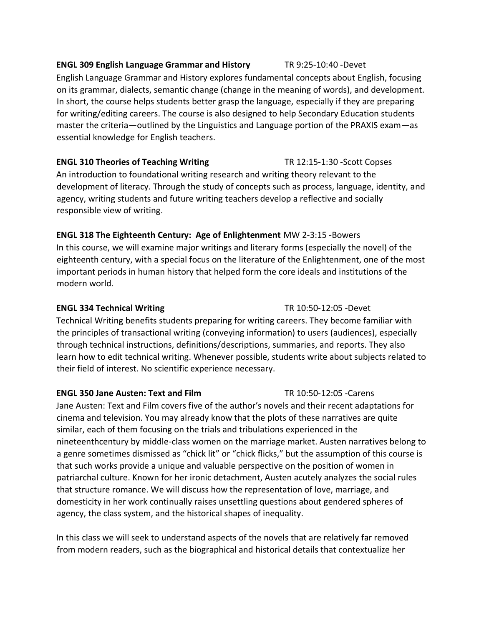## **ENGL 309 English Language Grammar and History** TR 9:25-10:40 -Devet

English Language Grammar and History explores fundamental concepts about English, focusing on its grammar, dialects, semantic change (change in the meaning of words), and development. In short, the course helps students better grasp the language, especially if they are preparing for writing/editing careers. The course is also designed to help Secondary Education students master the criteria—outlined by the Linguistics and Language portion of the PRAXIS exam—as essential knowledge for English teachers.

## **ENGL 310 Theories of Teaching Writing TR 12:15-1:30 -Scott Copses**

An introduction to foundational writing research and writing theory relevant to the development of literacy. Through the study of concepts such as process, language, identity, and agency, writing students and future writing teachers develop a reflective and socially responsible view of writing.

# **ENGL 318 The Eighteenth Century: Age of Enlightenment** MW 2-3:15 -Bowers

In this course, we will examine major writings and literary forms (especially the novel) of the eighteenth century, with a special focus on the literature of the Enlightenment, one of the most important periods in human history that helped form the core ideals and institutions of the modern world.

## **ENGL 334 Technical Writing** TR 10:50-12:05 -Devet

Technical Writing benefits students preparing for writing careers. They become familiar with the principles of transactional writing (conveying information) to users (audiences), especially through technical instructions, definitions/descriptions, summaries, and reports. They also learn how to edit technical writing. Whenever possible, students write about subjects related to their field of interest. No scientific experience necessary.

## **ENGL 350 Jane Austen: Text and Film** TR 10:50-12:05 -Carens

Jane Austen: Text and Film covers five of the author's novels and their recent adaptations for cinema and television. You may already know that the plots of these narratives are quite similar, each of them focusing on the trials and tribulations experienced in the nineteenthcentury by middle-class women on the marriage market. Austen narratives belong to a genre sometimes dismissed as "chick lit" or "chick flicks," but the assumption of this course is that such works provide a unique and valuable perspective on the position of women in patriarchal culture. Known for her ironic detachment, Austen acutely analyzes the social rules that structure romance. We will discuss how the representation of love, marriage, and domesticity in her work continually raises unsettling questions about gendered spheres of agency, the class system, and the historical shapes of inequality.

In this class we will seek to understand aspects of the novels that are relatively far removed from modern readers, such as the biographical and historical details that contextualize her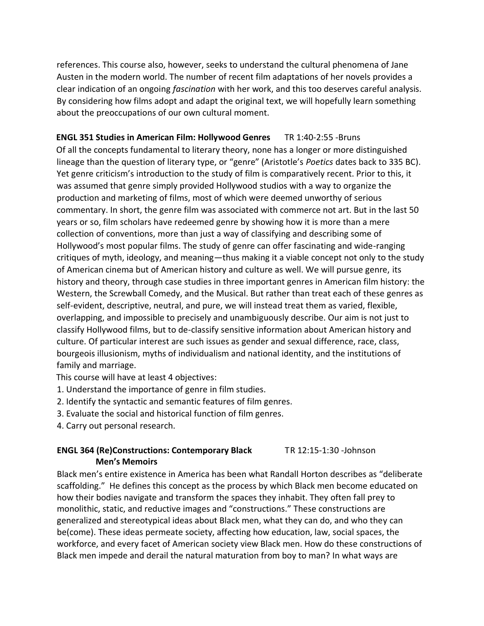references. This course also, however, seeks to understand the cultural phenomena of Jane Austen in the modern world. The number of recent film adaptations of her novels provides a clear indication of an ongoing *fascination* with her work, and this too deserves careful analysis. By considering how films adopt and adapt the original text, we will hopefully learn something about the preoccupations of our own cultural moment.

# **ENGL 351 Studies in American Film: Hollywood Genres** TR 1:40-2:55 -Bruns

Of all the concepts fundamental to literary theory, none has a longer or more distinguished lineage than the question of literary type, or "genre" (Aristotle's *Poetics* dates back to 335 BC). Yet genre criticism's introduction to the study of film is comparatively recent. Prior to this, it was assumed that genre simply provided Hollywood studios with a way to organize the production and marketing of films, most of which were deemed unworthy of serious commentary. In short, the genre film was associated with commerce not art. But in the last 50 years or so, film scholars have redeemed genre by showing how it is more than a mere collection of conventions, more than just a way of classifying and describing some of Hollywood's most popular films. The study of genre can offer fascinating and wide-ranging critiques of myth, ideology, and meaning—thus making it a viable concept not only to the study of American cinema but of American history and culture as well. We will pursue genre, its history and theory, through case studies in three important genres in American film history: the Western, the Screwball Comedy, and the Musical. But rather than treat each of these genres as self-evident, descriptive, neutral, and pure, we will instead treat them as varied, flexible, overlapping, and impossible to precisely and unambiguously describe. Our aim is not just to classify Hollywood films, but to de-classify sensitive information about American history and culture. Of particular interest are such issues as gender and sexual difference, race, class, bourgeois illusionism, myths of individualism and national identity, and the institutions of family and marriage.

This course will have at least 4 objectives:

- 1. Understand the importance of genre in film studies.
- 2. Identify the syntactic and semantic features of film genres.
- 3. Evaluate the social and historical function of film genres.
- 4. Carry out personal research.

### **ENGL 364 (Re)Constructions: Contemporary Black Men's Memoirs** TR 12:15-1:30 -Johnson

Black men's entire existence in America has been what Randall Horton describes as "deliberate scaffolding." He defines this concept as the process by which Black men become educated on how their bodies navigate and transform the spaces they inhabit. They often fall prey to monolithic, static, and reductive images and "constructions." These constructions are generalized and stereotypical ideas about Black men, what they can do, and who they can be(come). These ideas permeate society, affecting how education, law, social spaces, the workforce, and every facet of American society view Black men. How do these constructions of Black men impede and derail the natural maturation from boy to man? In what ways are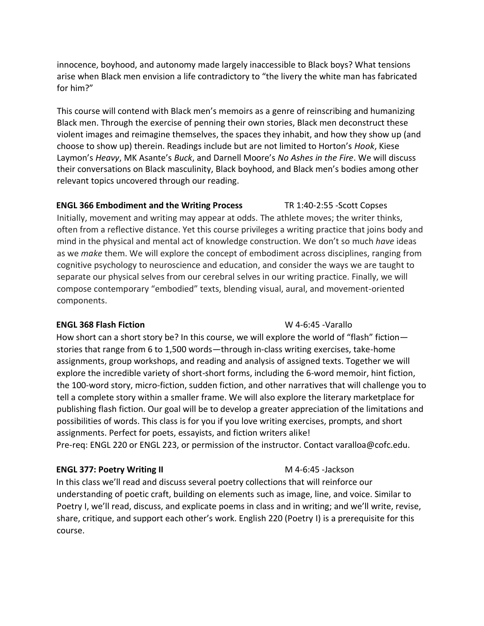innocence, boyhood, and autonomy made largely inaccessible to Black boys? What tensions arise when Black men envision a life contradictory to "the livery the white man has fabricated for him?"

This course will contend with Black men's memoirs as a genre of reinscribing and humanizing Black men. Through the exercise of penning their own stories, Black men deconstruct these violent images and reimagine themselves, the spaces they inhabit, and how they show up (and choose to show up) therein. Readings include but are not limited to Horton's *Hook*, Kiese Laymon's *Heavy*, MK Asante's *Buck*, and Darnell Moore's *No Ashes in the Fire*. We will discuss their conversations on Black masculinity, Black boyhood, and Black men's bodies among other relevant topics uncovered through our reading.

## **ENGL 366 Embodiment and the Writing Process** TR 1:40-2:55 -Scott Copses

Initially, movement and writing may appear at odds. The athlete moves; the writer thinks, often from a reflective distance. Yet this course privileges a writing practice that joins body and mind in the physical and mental act of knowledge construction. We don't so much *have* ideas as we *make* them. We will explore the concept of embodiment across disciplines, ranging from cognitive psychology to neuroscience and education, and consider the ways we are taught to separate our physical selves from our cerebral selves in our writing practice. Finally, we will compose contemporary "embodied" texts, blending visual, aural, and movement-oriented components.

## **ENGL 368 Flash Fiction** W 4-6:45 -Varallo

How short can a short story be? In this course, we will explore the world of "flash" fiction stories that range from 6 to 1,500 words—through in-class writing exercises, take-home assignments, group workshops, and reading and analysis of assigned texts. Together we will explore the incredible variety of short-short forms, including the 6-word memoir, hint fiction, the 100-word story, micro-fiction, sudden fiction, and other narratives that will challenge you to tell a complete story within a smaller frame. We will also explore the literary marketplace for publishing flash fiction. Our goal will be to develop a greater appreciation of the limitations and possibilities of words. This class is for you if you love writing exercises, prompts, and short assignments. Perfect for poets, essayists, and fiction writers alike! Pre-req: ENGL 220 or ENGL 223, or permission of the instructor. Contact varalloa@cofc.edu.

## **ENGL 377: Poetry Writing II** M 4-6:45 -Jackson

In this class we'll read and discuss several poetry collections that will reinforce our understanding of poetic craft, building on elements such as image, line, and voice. Similar to Poetry I, we'll read, discuss, and explicate poems in class and in writing; and we'll write, revise, share, critique, and support each other's work. English 220 (Poetry I) is a prerequisite for this course.